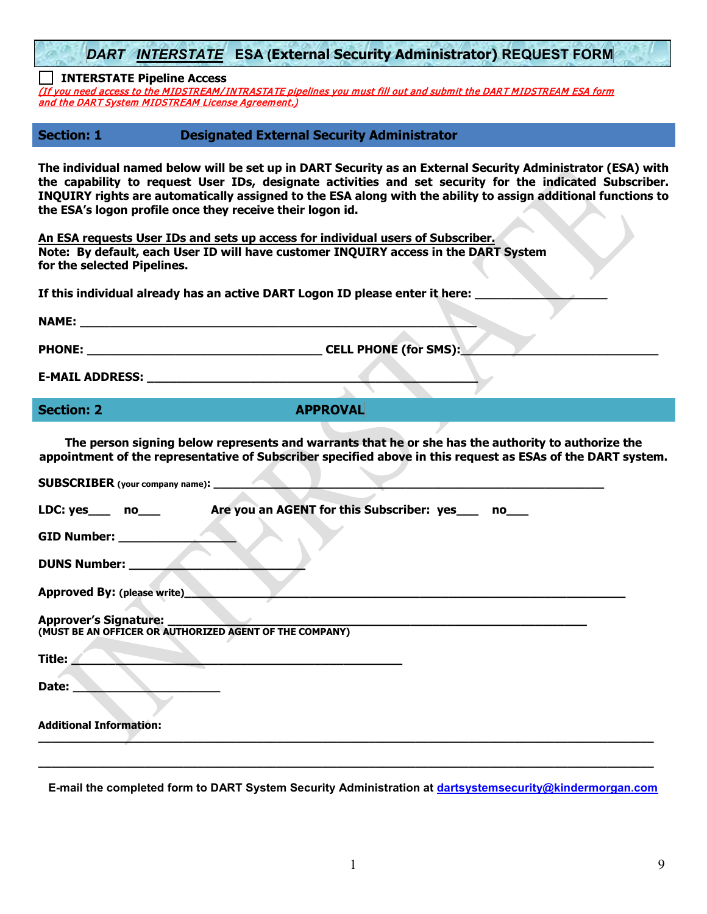*DART INTERSTATE* **ESA (External Security Administrator) REQUEST FORM**

**INTERSTATE Pipeline Access**

(If you need access to the MIDSTREAM/ INTRASTATE pipelines you must fill out and submit the DART MIDSTREAM ESA form and the DART System MIDSTREAM License Agreement.)

**Section: 1 Designated External Security Administrator** 

**The individual named below will be set up in DART Security as an External Security Administrator (ESA) with the capability to request User IDs, designate activities and set security for the indicated Subscriber. INQUIRY rights are automatically assigned to the ESA along with the ability to assign additional functions to the ESA's logon profile once they receive their logon id.**

**An ESA requests User IDs and sets up access for individual users of Subscriber. Note: By default, each User ID will have customer INQUIRY access in the DART System for the selected Pipelines.**

If this individual already has an active DART Logon ID please enter it here:

| <b>NAME:</b>  |                              |  |
|---------------|------------------------------|--|
|               |                              |  |
| <b>PHONE:</b> | <b>CELL PHONE (for SMS):</b> |  |

**E-MAIL ADDRESS: \_\_\_\_\_\_\_\_\_\_\_\_\_\_\_\_\_\_\_\_\_\_\_\_\_\_\_\_\_\_\_\_\_\_\_\_\_\_\_\_\_\_\_\_\_**

**Section: 2 APPROVAL** 

**The person signing below represents and warrants that he or she has the authority to authorize the appointment of the representative of Subscriber specified above in this request as ESAs of the DART system.**

| <b>SUBSCRIBER</b> (your company name): ______ |                                                                         |
|-----------------------------------------------|-------------------------------------------------------------------------|
|                                               | LDC: yes ___ no____ Are you an AGENT for this Subscriber: yes ___ no___ |
| <b>GID Number:</b>                            |                                                                         |
| DUNS Number:                                  |                                                                         |
| Approved By: (please write)                   |                                                                         |
| <b>Approver's Signature:</b>                  | (MUST BE AN OFFICER OR AUTHORIZED AGENT OF THE COMPANY)                 |
| Title:                                        |                                                                         |
| Date:                                         |                                                                         |
| <b>Additional Information:</b>                |                                                                         |
|                                               |                                                                         |

**E-mail the completed form to DART System Security Administration at [dartsystemsecurity@kindermorgan.com](mailto:dartsystemsecurity@kindermorgan.com)**

**\_\_\_\_\_\_\_\_\_\_\_\_\_\_\_\_\_\_\_\_\_\_\_\_\_\_\_\_\_\_\_\_\_\_\_\_\_\_\_\_\_\_\_\_\_\_\_\_\_\_\_\_\_\_\_\_\_\_\_\_\_\_\_\_\_\_\_\_\_\_\_\_\_\_\_\_\_\_\_\_\_\_\_\_\_\_\_\_\_\_\_\_\_**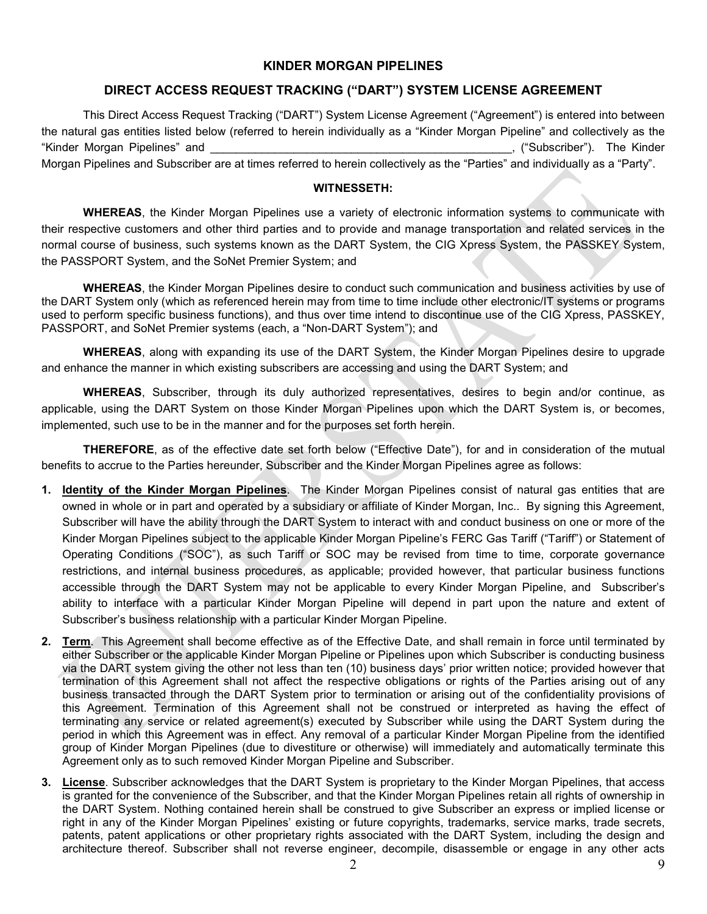# **KINDER MORGAN PIPELINES**

# **DIRECT ACCESS REQUEST TRACKING ("DART") SYSTEM LICENSE AGREEMENT**

This Direct Access Request Tracking ("DART") System License Agreement ("Agreement") is entered into between the natural gas entities listed below (referred to herein individually as a "Kinder Morgan Pipeline" and collectively as the "Kinder Morgan Pipelines" and \_\_\_\_\_\_\_\_\_\_\_\_\_\_\_\_\_\_\_\_\_\_\_\_\_\_\_\_\_\_\_\_\_\_\_\_\_\_\_\_\_\_\_\_\_\_\_, ("Subscriber"). The Kinder Morgan Pipelines and Subscriber are at times referred to herein collectively as the "Parties" and individually as a "Party".

#### **WITNESSETH:**

**WHEREAS**, the Kinder Morgan Pipelines use a variety of electronic information systems to communicate with their respective customers and other third parties and to provide and manage transportation and related services in the normal course of business, such systems known as the DART System, the CIG Xpress System, the PASSKEY System, the PASSPORT System, and the SoNet Premier System; and

**WHEREAS**, the Kinder Morgan Pipelines desire to conduct such communication and business activities by use of the DART System only (which as referenced herein may from time to time include other electronic/IT systems or programs used to perform specific business functions), and thus over time intend to discontinue use of the CIG Xpress, PASSKEY, PASSPORT, and SoNet Premier systems (each, a "Non-DART System"); and

**WHEREAS**, along with expanding its use of the DART System, the Kinder Morgan Pipelines desire to upgrade and enhance the manner in which existing subscribers are accessing and using the DART System; and

**WHEREAS**, Subscriber, through its duly authorized representatives, desires to begin and/or continue, as applicable, using the DART System on those Kinder Morgan Pipelines upon which the DART System is, or becomes, implemented, such use to be in the manner and for the purposes set forth herein.

**THEREFORE**, as of the effective date set forth below ("Effective Date"), for and in consideration of the mutual benefits to accrue to the Parties hereunder, Subscriber and the Kinder Morgan Pipelines agree as follows:

- **1. Identity of the Kinder Morgan Pipelines**. The Kinder Morgan Pipelines consist of natural gas entities that are owned in whole or in part and operated by a subsidiary or affiliate of Kinder Morgan, Inc.. By signing this Agreement, Subscriber will have the ability through the DART System to interact with and conduct business on one or more of the Kinder Morgan Pipelines subject to the applicable Kinder Morgan Pipeline's FERC Gas Tariff ("Tariff") or Statement of Operating Conditions ("SOC"), as such Tariff or SOC may be revised from time to time, corporate governance restrictions, and internal business procedures, as applicable; provided however, that particular business functions accessible through the DART System may not be applicable to every Kinder Morgan Pipeline, and Subscriber's ability to interface with a particular Kinder Morgan Pipeline will depend in part upon the nature and extent of Subscriber's business relationship with a particular Kinder Morgan Pipeline.
- **2. Term**. This Agreement shall become effective as of the Effective Date, and shall remain in force until terminated by either Subscriber or the applicable Kinder Morgan Pipeline or Pipelines upon which Subscriber is conducting business via the DART system giving the other not less than ten (10) business days' prior written notice; provided however that termination of this Agreement shall not affect the respective obligations or rights of the Parties arising out of any business transacted through the DART System prior to termination or arising out of the confidentiality provisions of this Agreement. Termination of this Agreement shall not be construed or interpreted as having the effect of terminating any service or related agreement(s) executed by Subscriber while using the DART System during the period in which this Agreement was in effect. Any removal of a particular Kinder Morgan Pipeline from the identified group of Kinder Morgan Pipelines (due to divestiture or otherwise) will immediately and automatically terminate this Agreement only as to such removed Kinder Morgan Pipeline and Subscriber.
- **3. License**. Subscriber acknowledges that the DART System is proprietary to the Kinder Morgan Pipelines, that access is granted for the convenience of the Subscriber, and that the Kinder Morgan Pipelines retain all rights of ownership in the DART System. Nothing contained herein shall be construed to give Subscriber an express or implied license or right in any of the Kinder Morgan Pipelines' existing or future copyrights, trademarks, service marks, trade secrets, patents, patent applications or other proprietary rights associated with the DART System, including the design and architecture thereof. Subscriber shall not reverse engineer, decompile, disassemble or engage in any other acts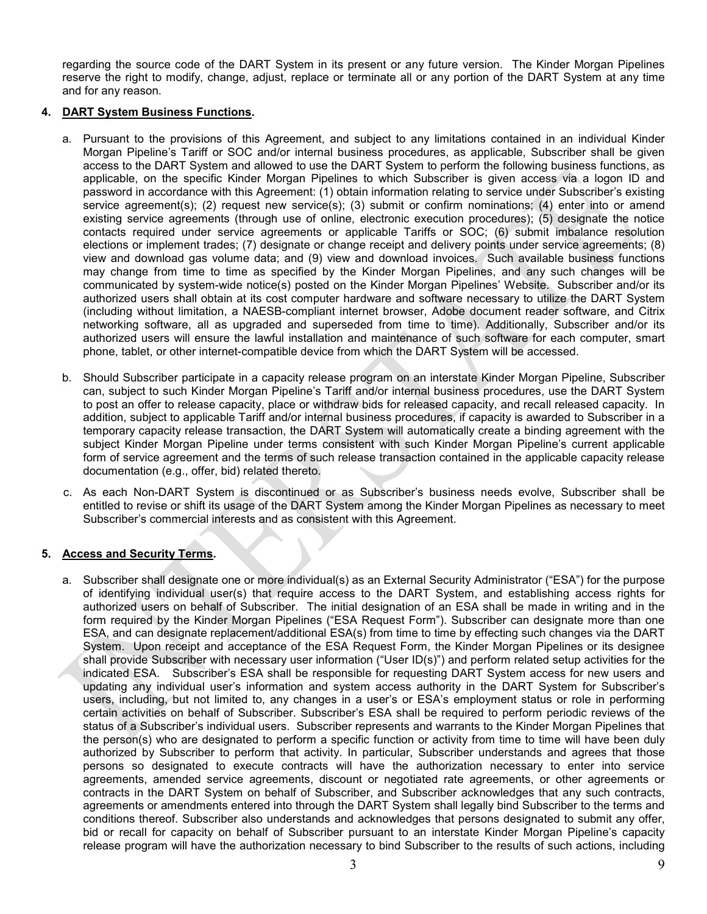regarding the source code of the DART System in its present or any future version. The Kinder Morgan Pipelines reserve the right to modify, change, adjust, replace or terminate all or any portion of the DART System at any time and for any reason.

#### **4. DART System Business Functions.**

- a. Pursuant to the provisions of this Agreement, and subject to any limitations contained in an individual Kinder Morgan Pipeline's Tariff or SOC and/or internal business procedures, as applicable, Subscriber shall be given access to the DART System and allowed to use the DART System to perform the following business functions, as applicable, on the specific Kinder Morgan Pipelines to which Subscriber is given access via a logon ID and password in accordance with this Agreement: (1) obtain information relating to service under Subscriber's existing service agreement(s); (2) request new service(s); (3) submit or confirm nominations; (4) enter into or amend existing service agreements (through use of online, electronic execution procedures); (5) designate the notice contacts required under service agreements or applicable Tariffs or SOC; (6) submit imbalance resolution elections or implement trades; (7) designate or change receipt and delivery points under service agreements; (8) view and download gas volume data; and (9) view and download invoices. Such available business functions may change from time to time as specified by the Kinder Morgan Pipelines, and any such changes will be communicated by system-wide notice(s) posted on the Kinder Morgan Pipelines' Website. Subscriber and/or its authorized users shall obtain at its cost computer hardware and software necessary to utilize the DART System (including without limitation, a NAESB-compliant internet browser, Adobe document reader software, and Citrix networking software, all as upgraded and superseded from time to time). Additionally, Subscriber and/or its authorized users will ensure the lawful installation and maintenance of such software for each computer, smart phone, tablet, or other internet-compatible device from which the DART System will be accessed.
- b. Should Subscriber participate in a capacity release program on an interstate Kinder Morgan Pipeline, Subscriber can, subject to such Kinder Morgan Pipeline's Tariff and/or internal business procedures, use the DART System to post an offer to release capacity, place or withdraw bids for released capacity, and recall released capacity. In addition, subject to applicable Tariff and/or internal business procedures, if capacity is awarded to Subscriber in a temporary capacity release transaction, the DART System will automatically create a binding agreement with the subject Kinder Morgan Pipeline under terms consistent with such Kinder Morgan Pipeline's current applicable form of service agreement and the terms of such release transaction contained in the applicable capacity release documentation (e.g., offer, bid) related thereto.
- c. As each Non-DART System is discontinued or as Subscriber's business needs evolve, Subscriber shall be entitled to revise or shift its usage of the DART System among the Kinder Morgan Pipelines as necessary to meet Subscriber's commercial interests and as consistent with this Agreement.

## **5. Access and Security Terms.**

a. Subscriber shall designate one or more individual(s) as an External Security Administrator ("ESA") for the purpose of identifying individual user(s) that require access to the DART System, and establishing access rights for authorized users on behalf of Subscriber. The initial designation of an ESA shall be made in writing and in the form required by the Kinder Morgan Pipelines ("ESA Request Form"). Subscriber can designate more than one ESA, and can designate replacement/additional ESA(s) from time to time by effecting such changes via the DART System. Upon receipt and acceptance of the ESA Request Form, the Kinder Morgan Pipelines or its designee shall provide Subscriber with necessary user information ("User ID(s)") and perform related setup activities for the indicated ESA. Subscriber's ESA shall be responsible for requesting DART System access for new users and updating any individual user's information and system access authority in the DART System for Subscriber's users, including, but not limited to, any changes in a user's or ESA's employment status or role in performing certain activities on behalf of Subscriber. Subscriber's ESA shall be required to perform periodic reviews of the status of a Subscriber's individual users. Subscriber represents and warrants to the Kinder Morgan Pipelines that the person(s) who are designated to perform a specific function or activity from time to time will have been duly authorized by Subscriber to perform that activity. In particular, Subscriber understands and agrees that those persons so designated to execute contracts will have the authorization necessary to enter into service agreements, amended service agreements, discount or negotiated rate agreements, or other agreements or contracts in the DART System on behalf of Subscriber, and Subscriber acknowledges that any such contracts, agreements or amendments entered into through the DART System shall legally bind Subscriber to the terms and conditions thereof. Subscriber also understands and acknowledges that persons designated to submit any offer, bid or recall for capacity on behalf of Subscriber pursuant to an interstate Kinder Morgan Pipeline's capacity release program will have the authorization necessary to bind Subscriber to the results of such actions, including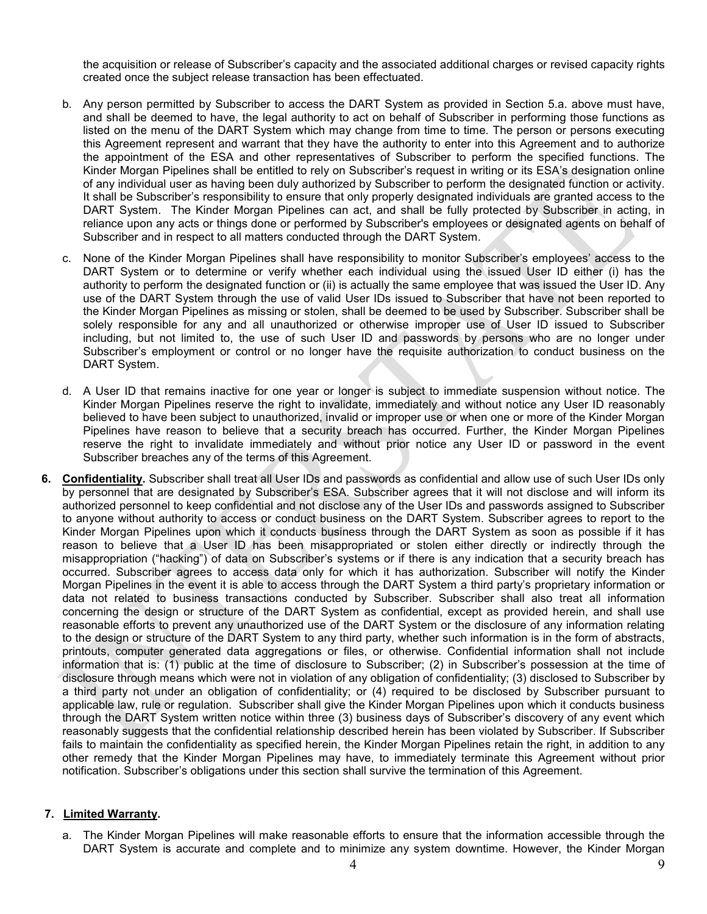the acquisition or release of Subscriber's capacity and the associated additional charges or revised capacity rights created once the subject release transaction has been effectuated.

- b. Any person permitted by Subscriber to access the DART System as provided in Section 5.a. above must have, and shall be deemed to have, the legal authority to act on behalf of Subscriber in performing those functions as listed on the menu of the DART System which may change from time to time. The person or persons executing this Agreement represent and warrant that they have the authority to enter into this Agreement and to authorize the appointment of the ESA and other representatives of Subscriber to perform the specified functions. The Kinder Morgan Pipelines shall be entitled to rely on Subscriber's request in writing or its ESA's designation online of any individual user as having been duly authorized by Subscriber to perform the designated function or activity. It shall be Subscriber's responsibility to ensure that only properly designated individuals are granted access to the DART System. The Kinder Morgan Pipelines can act, and shall be fully protected by Subscriber in acting, in reliance upon any acts or things done or performed by Subscriber's employees or designated agents on behalf of Subscriber and in respect to all matters conducted through the DART System.
- c. None of the Kinder Morgan Pipelines shall have responsibility to monitor Subscriber's employees' access to the DART System or to determine or verify whether each individual using the issued User ID either (i) has the authority to perform the designated function or (ii) is actually the same employee that was issued the User ID. Any use of the DART System through the use of valid User IDs issued to Subscriber that have not been reported to the Kinder Morgan Pipelines as missing or stolen, shall be deemed to be used by Subscriber. Subscriber shall be solely responsible for any and all unauthorized or otherwise improper use of User ID issued to Subscriber including, but not limited to, the use of such User ID and passwords by persons who are no longer under Subscriber's employment or control or no longer have the requisite authorization to conduct business on the DART System.
- d. A User ID that remains inactive for one year or longer is subject to immediate suspension without notice. The Kinder Morgan Pipelines reserve the right to invalidate, immediately and without notice any User ID reasonably believed to have been subject to unauthorized, invalid or improper use or when one or more of the Kinder Morgan Pipelines have reason to believe that a security breach has occurred. Further, the Kinder Morgan Pipelines reserve the right to invalidate immediately and without prior notice any User ID or password in the event Subscriber breaches any of the terms of this Agreement.
- **6. Confidentiality.** Subscriber shall treat all User IDs and passwords as confidential and allow use of such User IDs only by personnel that are designated by Subscriber's ESA. Subscriber agrees that it will not disclose and will inform its authorized personnel to keep confidential and not disclose any of the User IDs and passwords assigned to Subscriber to anyone without authority to access or conduct business on the DART System. Subscriber agrees to report to the Kinder Morgan Pipelines upon which it conducts business through the DART System as soon as possible if it has reason to believe that a User ID has been misappropriated or stolen either directly or indirectly through the misappropriation ("hacking") of data on Subscriber's systems or if there is any indication that a security breach has occurred. Subscriber agrees to access data only for which it has authorization. Subscriber will notify the Kinder Morgan Pipelines in the event it is able to access through the DART System a third party's proprietary information or data not related to business transactions conducted by Subscriber. Subscriber shall also treat all information concerning the design or structure of the DART System as confidential, except as provided herein, and shall use reasonable efforts to prevent any unauthorized use of the DART System or the disclosure of any information relating to the design or structure of the DART System to any third party, whether such information is in the form of abstracts, printouts, computer generated data aggregations or files, or otherwise. Confidential information shall not include information that is: (1) public at the time of disclosure to Subscriber; (2) in Subscriber's possession at the time of disclosure through means which were not in violation of any obligation of confidentiality; (3) disclosed to Subscriber by a third party not under an obligation of confidentiality; or (4) required to be disclosed by Subscriber pursuant to applicable law, rule or regulation. Subscriber shall give the Kinder Morgan Pipelines upon which it conducts business through the DART System written notice within three (3) business days of Subscriber's discovery of any event which reasonably suggests that the confidential relationship described herein has been violated by Subscriber. If Subscriber fails to maintain the confidentiality as specified herein, the Kinder Morgan Pipelines retain the right, in addition to any other remedy that the Kinder Morgan Pipelines may have, to immediately terminate this Agreement without prior notification. Subscriber's obligations under this section shall survive the termination of this Agreement.

#### **7. Limited Warranty.**

a. The Kinder Morgan Pipelines will make reasonable efforts to ensure that the information accessible through the DART System is accurate and complete and to minimize any system downtime. However, the Kinder Morgan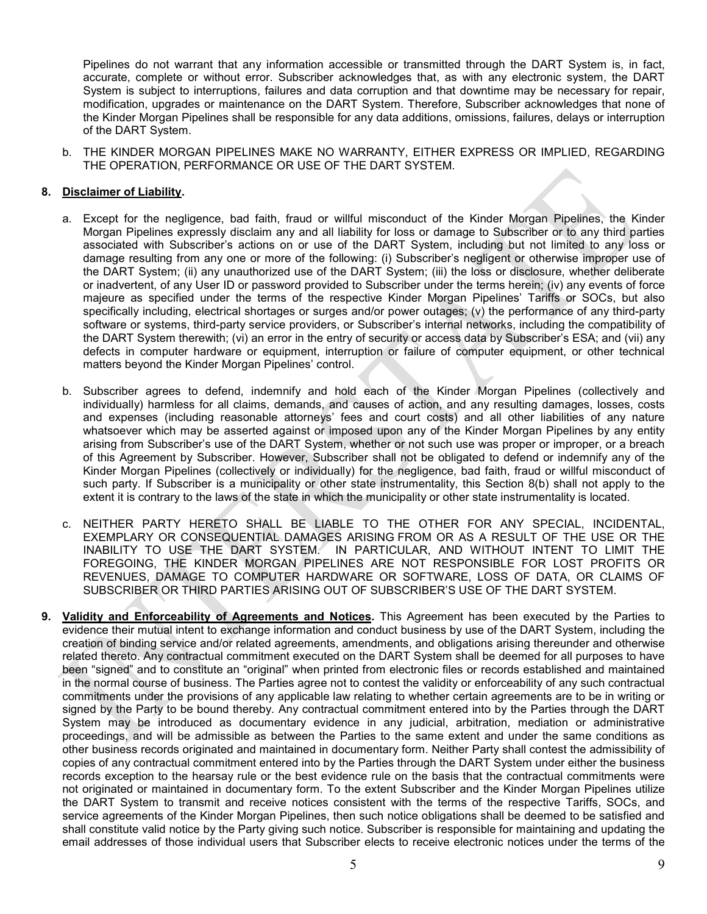Pipelines do not warrant that any information accessible or transmitted through the DART System is, in fact, accurate, complete or without error. Subscriber acknowledges that, as with any electronic system, the DART System is subject to interruptions, failures and data corruption and that downtime may be necessary for repair, modification, upgrades or maintenance on the DART System. Therefore, Subscriber acknowledges that none of the Kinder Morgan Pipelines shall be responsible for any data additions, omissions, failures, delays or interruption of the DART System.

b. THE KINDER MORGAN PIPELINES MAKE NO WARRANTY, EITHER EXPRESS OR IMPLIED, REGARDING THE OPERATION, PERFORMANCE OR USE OF THE DART SYSTEM.

### **8. Disclaimer of Liability.**

- a. Except for the negligence, bad faith, fraud or willful misconduct of the Kinder Morgan Pipelines, the Kinder Morgan Pipelines expressly disclaim any and all liability for loss or damage to Subscriber or to any third parties associated with Subscriber's actions on or use of the DART System, including but not limited to any loss or damage resulting from any one or more of the following: (i) Subscriber's negligent or otherwise improper use of the DART System; (ii) any unauthorized use of the DART System; (iii) the loss or disclosure, whether deliberate or inadvertent, of any User ID or password provided to Subscriber under the terms herein; (iv) any events of force majeure as specified under the terms of the respective Kinder Morgan Pipelines' Tariffs or SOCs, but also specifically including, electrical shortages or surges and/or power outages; (v) the performance of any third-party software or systems, third-party service providers, or Subscriber's internal networks, including the compatibility of the DART System therewith; (vi) an error in the entry of security or access data by Subscriber's ESA; and (vii) any defects in computer hardware or equipment, interruption or failure of computer equipment, or other technical matters beyond the Kinder Morgan Pipelines' control.
- b. Subscriber agrees to defend, indemnify and hold each of the Kinder Morgan Pipelines (collectively and individually) harmless for all claims, demands, and causes of action, and any resulting damages, losses, costs and expenses (including reasonable attorneys' fees and court costs) and all other liabilities of any nature whatsoever which may be asserted against or imposed upon any of the Kinder Morgan Pipelines by any entity arising from Subscriber's use of the DART System, whether or not such use was proper or improper, or a breach of this Agreement by Subscriber. However, Subscriber shall not be obligated to defend or indemnify any of the Kinder Morgan Pipelines (collectively or individually) for the negligence, bad faith, fraud or willful misconduct of such party. If Subscriber is a municipality or other state instrumentality, this Section 8(b) shall not apply to the extent it is contrary to the laws of the state in which the municipality or other state instrumentality is located.
- c. NEITHER PARTY HERETO SHALL BE LIABLE TO THE OTHER FOR ANY SPECIAL, INCIDENTAL, EXEMPLARY OR CONSEQUENTIAL DAMAGES ARISING FROM OR AS A RESULT OF THE USE OR THE INABILITY TO USE THE DART SYSTEM. IN PARTICULAR, AND WITHOUT INTENT TO LIMIT THE FOREGOING, THE KINDER MORGAN PIPELINES ARE NOT RESPONSIBLE FOR LOST PROFITS OR REVENUES, DAMAGE TO COMPUTER HARDWARE OR SOFTWARE, LOSS OF DATA, OR CLAIMS OF SUBSCRIBER OR THIRD PARTIES ARISING OUT OF SUBSCRIBER'S USE OF THE DART SYSTEM.
- **9. Validity and Enforceability of Agreements and Notices.** This Agreement has been executed by the Parties to evidence their mutual intent to exchange information and conduct business by use of the DART System, including the creation of binding service and/or related agreements, amendments, and obligations arising thereunder and otherwise related thereto. Any contractual commitment executed on the DART System shall be deemed for all purposes to have been "signed" and to constitute an "original" when printed from electronic files or records established and maintained in the normal course of business. The Parties agree not to contest the validity or enforceability of any such contractual commitments under the provisions of any applicable law relating to whether certain agreements are to be in writing or signed by the Party to be bound thereby. Any contractual commitment entered into by the Parties through the DART System may be introduced as documentary evidence in any judicial, arbitration, mediation or administrative proceedings, and will be admissible as between the Parties to the same extent and under the same conditions as other business records originated and maintained in documentary form. Neither Party shall contest the admissibility of copies of any contractual commitment entered into by the Parties through the DART System under either the business records exception to the hearsay rule or the best evidence rule on the basis that the contractual commitments were not originated or maintained in documentary form. To the extent Subscriber and the Kinder Morgan Pipelines utilize the DART System to transmit and receive notices consistent with the terms of the respective Tariffs, SOCs, and service agreements of the Kinder Morgan Pipelines, then such notice obligations shall be deemed to be satisfied and shall constitute valid notice by the Party giving such notice. Subscriber is responsible for maintaining and updating the email addresses of those individual users that Subscriber elects to receive electronic notices under the terms of the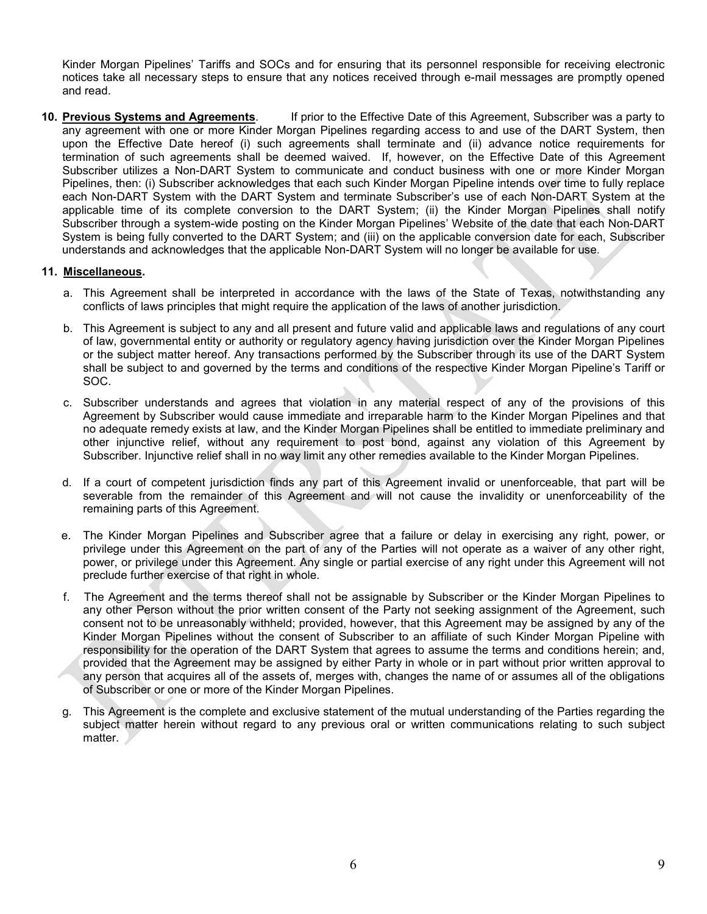Kinder Morgan Pipelines' Tariffs and SOCs and for ensuring that its personnel responsible for receiving electronic notices take all necessary steps to ensure that any notices received through e-mail messages are promptly opened and read.

**10. Previous Systems and Agreements**. If prior to the Effective Date of this Agreement, Subscriber was a party to any agreement with one or more Kinder Morgan Pipelines regarding access to and use of the DART System, then upon the Effective Date hereof (i) such agreements shall terminate and (ii) advance notice requirements for termination of such agreements shall be deemed waived. If, however, on the Effective Date of this Agreement Subscriber utilizes a Non-DART System to communicate and conduct business with one or more Kinder Morgan Pipelines, then: (i) Subscriber acknowledges that each such Kinder Morgan Pipeline intends over time to fully replace each Non-DART System with the DART System and terminate Subscriber's use of each Non-DART System at the applicable time of its complete conversion to the DART System; (ii) the Kinder Morgan Pipelines shall notify Subscriber through a system-wide posting on the Kinder Morgan Pipelines' Website of the date that each Non-DART System is being fully converted to the DART System; and (iii) on the applicable conversion date for each, Subscriber understands and acknowledges that the applicable Non-DART System will no longer be available for use.

## **11. Miscellaneous.**

- a. This Agreement shall be interpreted in accordance with the laws of the State of Texas, notwithstanding any conflicts of laws principles that might require the application of the laws of another jurisdiction.
- b. This Agreement is subject to any and all present and future valid and applicable laws and regulations of any court of law, governmental entity or authority or regulatory agency having jurisdiction over the Kinder Morgan Pipelines or the subject matter hereof. Any transactions performed by the Subscriber through its use of the DART System shall be subject to and governed by the terms and conditions of the respective Kinder Morgan Pipeline's Tariff or SOC.
- c. Subscriber understands and agrees that violation in any material respect of any of the provisions of this Agreement by Subscriber would cause immediate and irreparable harm to the Kinder Morgan Pipelines and that no adequate remedy exists at law, and the Kinder Morgan Pipelines shall be entitled to immediate preliminary and other injunctive relief, without any requirement to post bond, against any violation of this Agreement by Subscriber. Injunctive relief shall in no way limit any other remedies available to the Kinder Morgan Pipelines.
- d. If a court of competent jurisdiction finds any part of this Agreement invalid or unenforceable, that part will be severable from the remainder of this Agreement and will not cause the invalidity or unenforceability of the remaining parts of this Agreement.
- e. The Kinder Morgan Pipelines and Subscriber agree that a failure or delay in exercising any right, power, or privilege under this Agreement on the part of any of the Parties will not operate as a waiver of any other right, power, or privilege under this Agreement. Any single or partial exercise of any right under this Agreement will not preclude further exercise of that right in whole.
- f. The Agreement and the terms thereof shall not be assignable by Subscriber or the Kinder Morgan Pipelines to any other Person without the prior written consent of the Party not seeking assignment of the Agreement, such consent not to be unreasonably withheld; provided, however, that this Agreement may be assigned by any of the Kinder Morgan Pipelines without the consent of Subscriber to an affiliate of such Kinder Morgan Pipeline with responsibility for the operation of the DART System that agrees to assume the terms and conditions herein; and, provided that the Agreement may be assigned by either Party in whole or in part without prior written approval to any person that acquires all of the assets of, merges with, changes the name of or assumes all of the obligations of Subscriber or one or more of the Kinder Morgan Pipelines.
- g. This Agreement is the complete and exclusive statement of the mutual understanding of the Parties regarding the subject matter herein without regard to any previous oral or written communications relating to such subject matter.